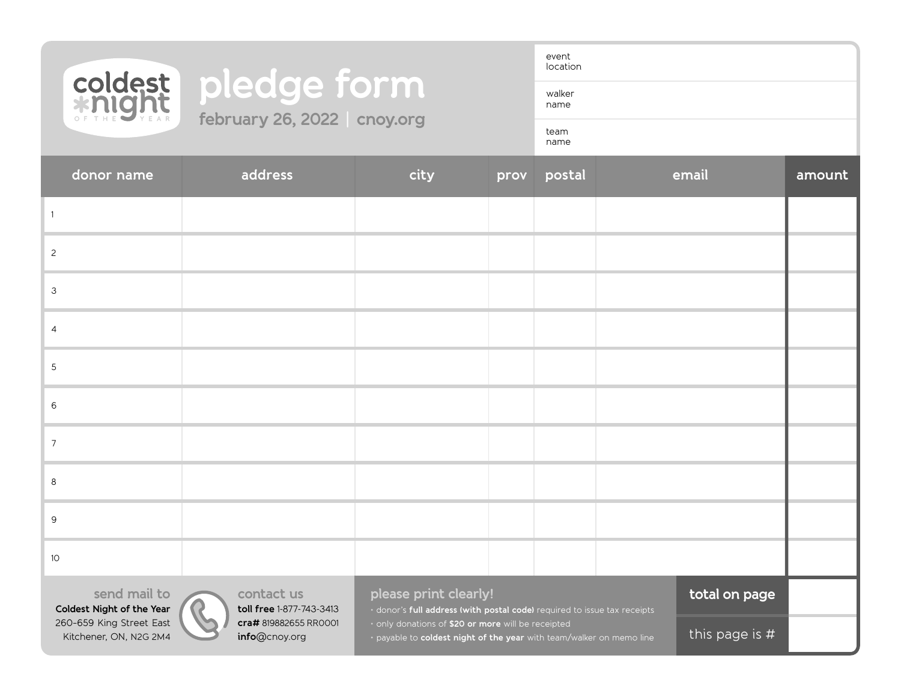

## coldest pledge form **february 26, 2022 | cnoy.org**

event location walker

name

team

name

| donor name                                         | address                                | city                                                                                                                                                                                                                            | prov | postal |  | email          | amount |
|----------------------------------------------------|----------------------------------------|---------------------------------------------------------------------------------------------------------------------------------------------------------------------------------------------------------------------------------|------|--------|--|----------------|--------|
|                                                    |                                        |                                                                                                                                                                                                                                 |      |        |  |                |        |
| $\overline{c}$                                     |                                        |                                                                                                                                                                                                                                 |      |        |  |                |        |
| 3                                                  |                                        |                                                                                                                                                                                                                                 |      |        |  |                |        |
| $\overline{4}$                                     |                                        |                                                                                                                                                                                                                                 |      |        |  |                |        |
| $\mathsf S$                                        |                                        |                                                                                                                                                                                                                                 |      |        |  |                |        |
| 6                                                  |                                        |                                                                                                                                                                                                                                 |      |        |  |                |        |
| $\overline{7}$                                     |                                        |                                                                                                                                                                                                                                 |      |        |  |                |        |
| 8                                                  |                                        |                                                                                                                                                                                                                                 |      |        |  |                |        |
| 9                                                  |                                        |                                                                                                                                                                                                                                 |      |        |  |                |        |
| 10 <sup>°</sup>                                    |                                        |                                                                                                                                                                                                                                 |      |        |  |                |        |
| send mail to<br>Coldest Night of the Year          | contact us<br>toll free 1-877-743-3413 | please print clearly!<br>· donor's full address (with postal code) required to issue tax receipts<br>· only donations of \$20 or more will be receipted<br>· payable to coldest night of the year with team/walker on memo line |      |        |  | total on page  |        |
| 260-659 King Street East<br>Kitchener, ON, N2G 2M4 | cra# 819882655 RR0001<br>info@cnoy.org |                                                                                                                                                                                                                                 |      |        |  | this page is # |        |